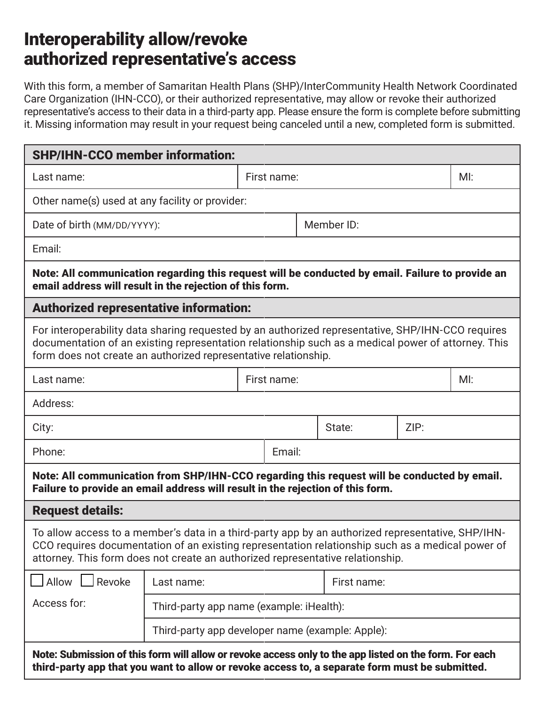## Interoperability allow/revoke authorized representative's access

With this form, a member of Samaritan Health Plans (SHP)/InterCommunity Health Network Coordinated Care Organization (IHN-CCO), or their authorized representative, may allow or revoke their authorized representative's access to their data in a third-party app. Please ensure the form is complete before submitting it. Missing information may result in your request being canceled until a new, completed form is submitted.

| <b>SHP/IHN-CCO member information:</b>                                                                                                                                                                                                                                                  |                                                  |             |             |  |             |      |     |  |
|-----------------------------------------------------------------------------------------------------------------------------------------------------------------------------------------------------------------------------------------------------------------------------------------|--------------------------------------------------|-------------|-------------|--|-------------|------|-----|--|
| Last name:                                                                                                                                                                                                                                                                              |                                                  | First name: |             |  |             | MI:  |     |  |
| Other name(s) used at any facility or provider:                                                                                                                                                                                                                                         |                                                  |             |             |  |             |      |     |  |
| Date of birth (MM/DD/YYYY):                                                                                                                                                                                                                                                             |                                                  |             | Member ID:  |  |             |      |     |  |
| Email:                                                                                                                                                                                                                                                                                  |                                                  |             |             |  |             |      |     |  |
| Note: All communication regarding this request will be conducted by email. Failure to provide an<br>email address will result in the rejection of this form.                                                                                                                            |                                                  |             |             |  |             |      |     |  |
| <b>Authorized representative information:</b>                                                                                                                                                                                                                                           |                                                  |             |             |  |             |      |     |  |
| For interoperability data sharing requested by an authorized representative, SHP/IHN-CCO requires<br>documentation of an existing representation relationship such as a medical power of attorney. This<br>form does not create an authorized representative relationship.              |                                                  |             |             |  |             |      |     |  |
| Last name:                                                                                                                                                                                                                                                                              |                                                  |             | First name: |  |             |      | MI: |  |
| Address:                                                                                                                                                                                                                                                                                |                                                  |             |             |  |             |      |     |  |
| City:                                                                                                                                                                                                                                                                                   |                                                  |             |             |  | State:      | ZIP: |     |  |
| Phone:                                                                                                                                                                                                                                                                                  |                                                  |             | Email:      |  |             |      |     |  |
| Note: All communication from SHP/IHN-CCO regarding this request will be conducted by email.<br>Failure to provide an email address will result in the rejection of this form.                                                                                                           |                                                  |             |             |  |             |      |     |  |
| <b>Request details:</b>                                                                                                                                                                                                                                                                 |                                                  |             |             |  |             |      |     |  |
| To allow access to a member's data in a third-party app by an authorized representative, SHP/IHN-<br>CCO requires documentation of an existing representation relationship such as a medical power of<br>attorney. This form does not create an authorized representative relationship. |                                                  |             |             |  |             |      |     |  |
| <b>Allow</b><br>Revoke                                                                                                                                                                                                                                                                  | Last name:                                       |             |             |  | First name: |      |     |  |
| Access for:                                                                                                                                                                                                                                                                             | Third-party app name (example: iHealth):         |             |             |  |             |      |     |  |
|                                                                                                                                                                                                                                                                                         | Third-party app developer name (example: Apple): |             |             |  |             |      |     |  |
| Note: Submission of this form will allow or revoke access only to the app listed on the form. For each<br>third-party app that you want to allow or revoke access to, a separate form must be submitted.                                                                                |                                                  |             |             |  |             |      |     |  |